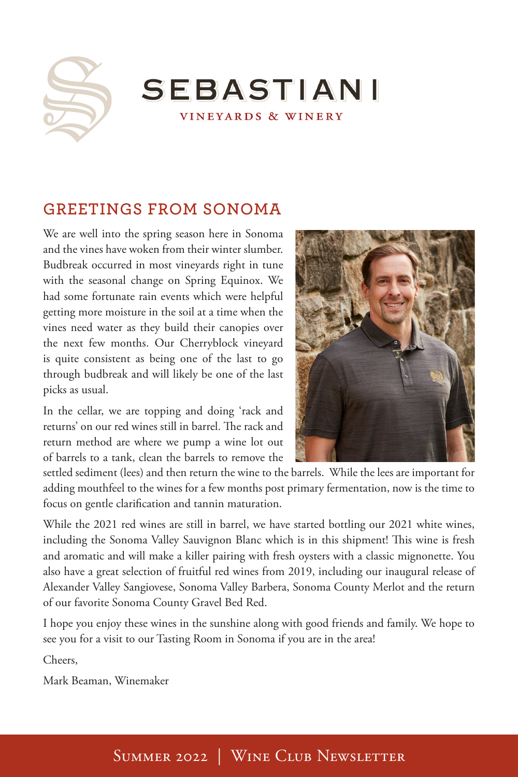

SEBASTIANI VINEYARDS & WINERY

# **GREETINGS FROM SONOMA**

We are well into the spring season here in Sonoma and the vines have woken from their winter slumber. Budbreak occurred in most vineyards right in tune with the seasonal change on Spring Equinox. We had some fortunate rain events which were helpful getting more moisture in the soil at a time when the vines need water as they build their canopies over the next few months. Our Cherryblock vineyard is quite consistent as being one of the last to go through budbreak and will likely be one of the last picks as usual.

In the cellar, we are topping and doing 'rack and returns' on our red wines still in barrel. The rack and return method are where we pump a wine lot out of barrels to a tank, clean the barrels to remove the



settled sediment (lees) and then return the wine to the barrels. While the lees are important for adding mouthfeel to the wines for a few months post primary fermentation, now is the time to focus on gentle clarification and tannin maturation.

While the 2021 red wines are still in barrel, we have started bottling our 2021 white wines, including the Sonoma Valley Sauvignon Blanc which is in this shipment! This wine is fresh and aromatic and will make a killer pairing with fresh oysters with a classic mignonette. You also have a great selection of fruitful red wines from 2019, including our inaugural release of Alexander Valley Sangiovese, Sonoma Valley Barbera, Sonoma County Merlot and the return of our favorite Sonoma County Gravel Bed Red.

I hope you enjoy these wines in the sunshine along with good friends and family. We hope to see you for a visit to our Tasting Room in Sonoma if you are in the area!

Cheers,

Mark Beaman, Winemaker